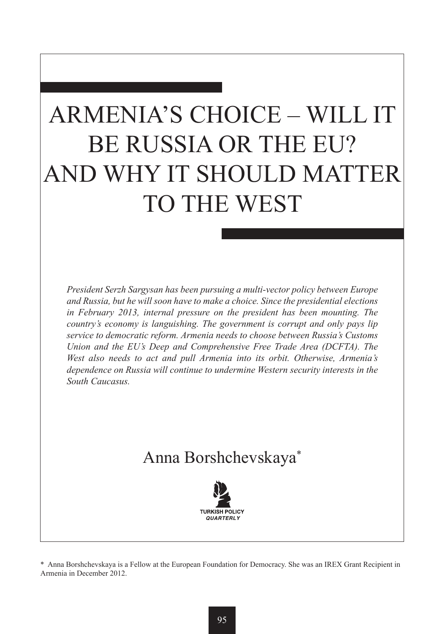# ARMENIA'S CHOICE – WILL IT BE RUSSIA OR THE EU? AND WHY IT SHOULD MATTER TO THE WEST

*President Serzh Sargysan has been pursuing a multi-vector policy between Europe and Russia, but he will soon have to make a choice. Since the presidential elections in February 2013, internal pressure on the president has been mounting. The country's economy is languishing. The government is corrupt and only pays lip service to democratic reform. Armenia needs to choose between Russia's Customs Union and the EU's Deep and Comprehensive Free Trade Area (DCFTA). The West also needs to act and pull Armenia into its orbit. Otherwise, Armenia's dependence on Russia will continue to undermine Western security interests in the South Caucasus.*

## Anna Borshchevskaya\*



\* Anna Borshchevskaya is a Fellow at the European Foundation for Democracy. She was an IREX Grant Recipient in Armenia in December 2012.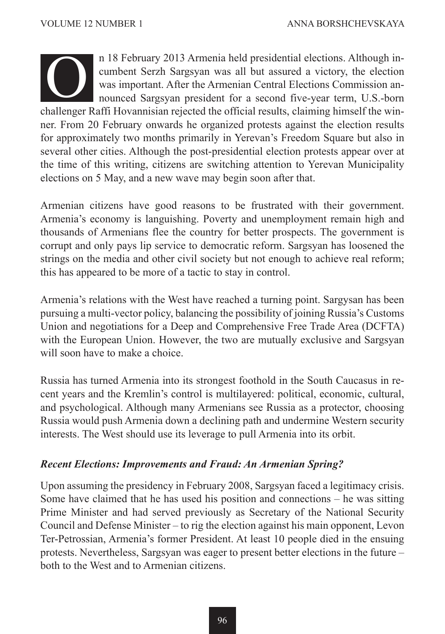

n 18 February 2013 Armenia held presidential elections. Although incumbent Serzh Sargsyan was all but assured a victory, the election was important. After the Armenian Central Elections Commission announced Sargsyan president for a second five-year term, U.S.-born n 18 February 2013 Armenia held presidential elections. Although in-<br>cumbent Serzh Sargsyan was all but assured a victory, the election<br>was important. After the Armenian Central Elections Commission an-<br>nounced Sargsyan pr ner. From 20 February onwards he organized protests against the election results for approximately two months primarily in Yerevan's Freedom Square but also in several other cities. Although the post-presidential election protests appear over at the time of this writing, citizens are switching attention to Yerevan Municipality elections on 5 May, and a new wave may begin soon after that.

Armenian citizens have good reasons to be frustrated with their government. Armenia's economy is languishing. Poverty and unemployment remain high and thousands of Armenians flee the country for better prospects. The government is corrupt and only pays lip service to democratic reform. Sargsyan has loosened the strings on the media and other civil society but not enough to achieve real reform; this has appeared to be more of a tactic to stay in control.

Armenia's relations with the West have reached a turning point. Sargysan has been pursuing a multi-vector policy, balancing the possibility of joining Russia's Customs Union and negotiations for a Deep and Comprehensive Free Trade Area (DCFTA) with the European Union. However, the two are mutually exclusive and Sargsyan will soon have to make a choice.

Russia has turned Armenia into its strongest foothold in the South Caucasus in recent years and the Kremlin's control is multilayered: political, economic, cultural, and psychological. Although many Armenians see Russia as a protector, choosing Russia would push Armenia down a declining path and undermine Western security interests. The West should use its leverage to pull Armenia into its orbit.

#### *Recent Elections: Improvements and Fraud: An Armenian Spring?*

Upon assuming the presidency in February 2008, Sargsyan faced a legitimacy crisis. Some have claimed that he has used his position and connections – he was sitting Prime Minister and had served previously as Secretary of the National Security Council and Defense Minister – to rig the election against his main opponent, Levon Ter-Petrossian, Armenia's former President. At least 10 people died in the ensuing protests. Nevertheless, Sargsyan was eager to present better elections in the future – both to the West and to Armenian citizens.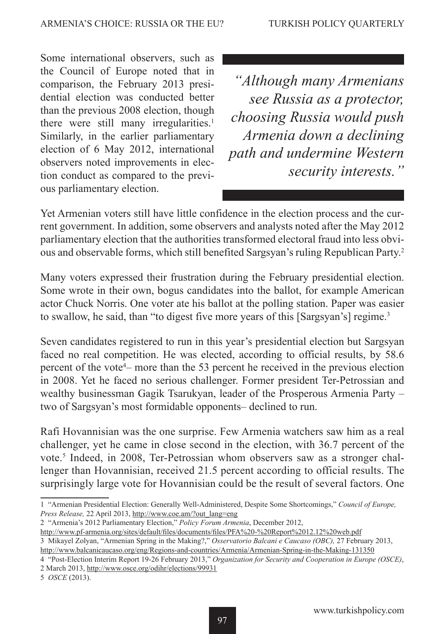Some international observers, such as the Council of Europe noted that in comparison, the February 2013 presidential election was conducted better than the previous 2008 election, though there were still many irregularities.<sup>1</sup> Similarly, in the earlier parliamentary election of 6 May 2012, international observers noted improvements in election conduct as compared to the previous parliamentary election.

*"Although many Armenians see Russia as a protector, choosing Russia would push Armenia down a declining path and undermine Western security interests."*

Yet Armenian voters still have little confidence in the election process and the current government. In addition, some observers and analysts noted after the May 2012 parliamentary election that the authorities transformed electoral fraud into less obvious and observable forms, which still benefited Sargsyan's ruling Republican Party.2

Many voters expressed their frustration during the February presidential election. Some wrote in their own, bogus candidates into the ballot, for example American actor Chuck Norris. One voter ate his ballot at the polling station. Paper was easier to swallow, he said, than "to digest five more years of this [Sargsyan's] regime.<sup>3</sup>

Seven candidates registered to run in this year's presidential election but Sargsyan faced no real competition. He was elected, according to official results, by 58.6 percent of the vote4 – more than the 53 percent he received in the previous election in 2008. Yet he faced no serious challenger. Former president Ter-Petrossian and wealthy businessman Gagik Tsarukyan, leader of the Prosperous Armenia Party – two of Sargsyan's most formidable opponents– declined to run.

Rafi Hovannisian was the one surprise. Few Armenia watchers saw him as a real challenger, yet he came in close second in the election, with 36.7 percent of the vote.<sup>5</sup> Indeed, in 2008, Ter-Petrossian whom observers saw as a stronger challenger than Hovannisian, received 21.5 percent according to official results. The surprisingly large vote for Hovannisian could be the result of several factors. One

2 "Armenia's 2012 Parliamentary Election," *Policy Forum Armenia*, December 2012,

<sup>1 &</sup>quot;Armenian Presidential Election: Generally Well-Administered, Despite Some Shortcomings," *Council of Europe, Press Release,* 22 April 2013, http://www.coe.am/?out\_lang=eng

http://www.pf-armenia.org/sites/default/files/documents/files/PFA%20-%20Report%2012.12%20web.pdf 3 Mikayel Zolyan, "Armenian Spring in the Making?," *Osservatorio Balcani e Caucaso (OBC),* 27 February 2013,

http://www.balcanicaucaso.org/eng/Regions-and-countries/Armenia/Armenian-Spring-in-the-Making-131350

<sup>4 &</sup>quot;Post-Election Interim Report 19-26 February 2013," *Organization for Security and Cooperation in Europe (OSCE)*, 2 March 2013, http://www.osce.org/odihr/elections/99931

<sup>5</sup> *OSCE* (2013).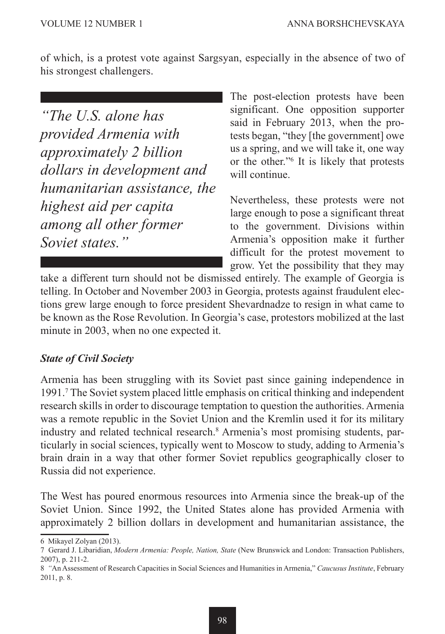of which, is a protest vote against Sargsyan, especially in the absence of two of his strongest challengers.

*"The U.S. alone has provided Armenia with approximately 2 billion dollars in development and humanitarian assistance, the highest aid per capita among all other former Soviet states."*

The post-election protests have been significant. One opposition supporter said in February 2013, when the protests began, "they [the government] owe us a spring, and we will take it, one way or the other."6 It is likely that protests will continue.

Nevertheless, these protests were not large enough to pose a significant threat to the government. Divisions within Armenia's opposition make it further difficult for the protest movement to grow. Yet the possibility that they may

take a different turn should not be dismissed entirely. The example of Georgia is telling. In October and November 2003 in Georgia, protests against fraudulent elections grew large enough to force president Shevardnadze to resign in what came to be known as the Rose Revolution. In Georgia's case, protestors mobilized at the last minute in 2003, when no one expected it.

#### *State of Civil Society*

Armenia has been struggling with its Soviet past since gaining independence in 1991.7 The Soviet system placed little emphasis on critical thinking and independent research skills in order to discourage temptation to question the authorities. Armenia was a remote republic in the Soviet Union and the Kremlin used it for its military industry and related technical research.8 Armenia's most promising students, particularly in social sciences, typically went to Moscow to study, adding to Armenia's brain drain in a way that other former Soviet republics geographically closer to Russia did not experience.

The West has poured enormous resources into Armenia since the break-up of the Soviet Union. Since 1992, the United States alone has provided Armenia with approximately 2 billion dollars in development and humanitarian assistance, the

<sup>6</sup> Mikayel Zolyan (2013).

<sup>7</sup> Gerard J. Libaridian, *Modern Armenia: People, Nation, State* (New Brunswick and London: Transaction Publishers, 2007), p. 211-2.

<sup>8</sup> *"*An Assessment of Research Capacities in Social Sciences and Humanities in Armenia," *Caucusus Institute*, February 2011, p. 8.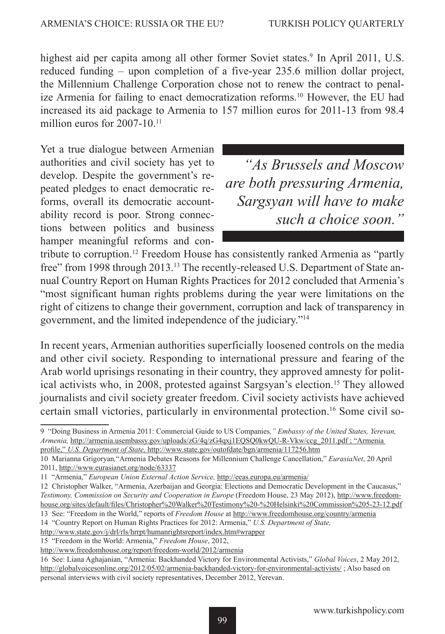highest aid per capita among all other former Soviet states.<sup>9</sup> In April 2011, U.S. reduced funding – upon completion of a five-year 235.6 million dollar project, the Millennium Challenge Corporation chose not to renew the contract to penalize Armenia for failing to enact democratization reforms.10 However, the EU had increased its aid package to Armenia to 157 million euros for 2011-13 from 98.4 million euros for  $2007-10^{-11}$ 

Yet a true dialogue between Armenian authorities and civil society has yet to develop. Despite the government's repeated pledges to enact democratic reforms, overall its democratic accountability record is poor. Strong connections between politics and business hamper meaningful reforms and con-

*"As Brussels and Moscow are both pressuring Armenia, Sargsyan will have to make such a choice soon."*

tribute to corruption.12 Freedom House has consistently ranked Armenia as "partly free" from 1998 through 2013.<sup>13</sup> The recently-released U.S. Department of State annual Country Report on Human Rights Practices for 2012 concluded that Armenia's "most significant human rights problems during the year were limitations on the right of citizens to change their government, corruption and lack of transparency in government, and the limited independence of the judiciary."14

In recent years, Armenian authorities superficially loosened controls on the media and other civil society. Responding to international pressure and fearing of the Arab world uprisings resonating in their country, they approved amnesty for political activists who, in 2008, protested against Sargsyan's election.15 They allowed journalists and civil society greater freedom. Civil society activists have achieved certain small victories, particularly in environmental protection.<sup>16</sup> Some civil so-

<sup>9 &</sup>quot;Doing Business in Armenia 2011: Commercial Guide to US Companies*," Embassy of the United States, Yerevan, Armenia,* http://armenia.usembassy.gov/uploads/zG/4q/zG4qxj1EQSQ0kwQU-R-Vkw/ccg\_2011.pdf ; "Armenia profile," *U.S. Department of State,* http://www.state.gov/outofdate/bgn/armenia/117256.htm

<sup>10</sup> Marianna Grigoryan*,*"Armenia Debates Reasons for Millennium Challenge Cancellation," *EurasiaNet*, 20 April

<sup>2011,</sup> http://www.eurasianet.org/node/63337

<sup>11 &</sup>quot;Armenia," *European Union External Action Service,* http://eeas.europa.eu/armenia/

<sup>12</sup> Christopher Walker, "Armenia, Azerbaijan and Georgia: Elections and Democratic Development in the Caucasus," *Testimony, Commission on Security and Cooperation in Europe* (Freedom House, 23 May 2012), http://www.freedomhouse.org/sites/default/files/Christopher%20Walker%20Testimony%20-%20Helsinki%20Commission%205-23-12.pdf

<sup>13</sup> See: "Freedom in the World," reports of *Freedom House* at http://www.freedomhouse.org/country/armenia 14 "Country Report on Human Rights Practices for 2012: Armenia," *U.S. Department of State,*

http://www.state.gov/j/drl/rls/hrrpt/humanrightsreport/index.htm#wrapper

<sup>15 &</sup>quot;Freedom in the World: Armenia," *Freedom House*, 2012,

http://www.freedomhouse.org/report/freedom-world/2012/armenia

<sup>16</sup> See: Liana Aghajanian, "Armenia: Backhanded Victory for Environmental Activists," *Global Voices*, 2 May 2012, http://globalvoicesonline.org/2012/05/02/armenia-backhanded-victory-for-environmental-activists/ ; Also based on personal interviews with civil society representatives, December 2012, Yerevan.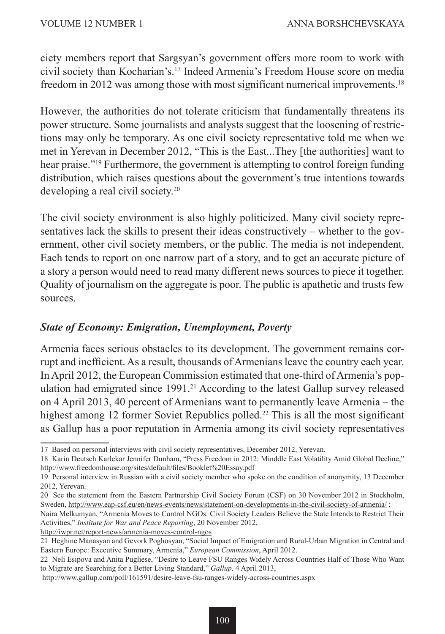ciety members report that Sargsyan's government offers more room to work with civil society than Kocharian's.17 Indeed Armenia's Freedom House score on media freedom in 2012 was among those with most significant numerical improvements.<sup>18</sup>

However, the authorities do not tolerate criticism that fundamentally threatens its power structure. Some journalists and analysts suggest that the loosening of restrictions may only be temporary. As one civil society representative told me when we met in Yerevan in December 2012, "This is the East...They [the authorities] want to hear praise."19 Furthermore, the government is attempting to control foreign funding distribution, which raises questions about the government's true intentions towards developing a real civil society.20

The civil society environment is also highly politicized. Many civil society representatives lack the skills to present their ideas constructively – whether to the government, other civil society members, or the public. The media is not independent. Each tends to report on one narrow part of a story, and to get an accurate picture of a story a person would need to read many different news sources to piece it together. Quality of journalism on the aggregate is poor. The public is apathetic and trusts few sources.

#### *State of Economy: Emigration, Unemployment, Poverty*

Armenia faces serious obstacles to its development. The government remains corrupt and inefficient. As a result, thousands of Armenians leave the country each year. In April 2012, the European Commission estimated that one-third of Armenia's population had emigrated since 1991.<sup>21</sup> According to the latest Gallup survey released on 4 April 2013, 40 percent of Armenians want to permanently leave Armenia – the highest among 12 former Soviet Republics polled.<sup>22</sup> This is all the most significant as Gallup has a poor reputation in Armenia among its civil society representatives

http://iwpr.net/report-news/armenia-moves-control-ngos

<sup>17</sup> Based on personal interviews with civil society representatives, December 2012, Yerevan.

<sup>18</sup> Karin Deutsch Karlekar Jennifer Dunham, "Press Freedom in 2012: Minddle East Volatility Amid Global Decline," http://www.freedomhouse.org/sites/default/files/Booklet%20Essay.pdf

<sup>19</sup> Personal interview in Russian with a civil society member who spoke on the condition of anonymity, 13 December 2012, Yerevan.

<sup>20</sup> See the statement from the Eastern Partnership Civil Society Forum (CSF) on 30 November 2012 in Stockholm, Sweden, http://www.eap-csf.eu/en/news-events/news/statement-on-developments-in-the-civil-society-of-armenia/ ;

Naira Melkumyan, "Armenia Moves to Control NGOs: Civil Society Leaders Believe the State Intends to Restrict Their Activities," *Institute for War and Peace Reporting*, 20 November 2012,

<sup>21</sup> Heghine Manasyan and Gevork Poghosyan, "Social Impact of Emigration and Rural-Urban Migration in Central and Eastern Europe: Executive Summary, Armenia," *European Commission*, April 2012.

<sup>22</sup> Neli Esipova and Anita Pugliese, "Desire to Leave FSU Ranges Widely Across Countries Half of Those Who Want to Migrate are Searching for a Better Living Standard," *Gallup,* 4 April 2013,

http://www.gallup.com/poll/161591/desire-leave-fsu-ranges-widely-across-countries.aspx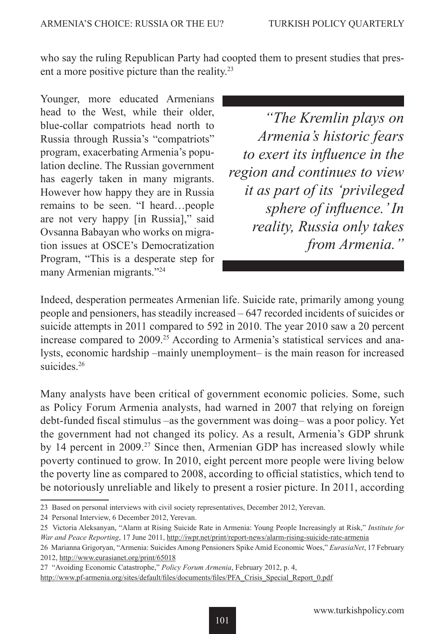who say the ruling Republican Party had coopted them to present studies that present a more positive picture than the reality.23

Younger, more educated Armenians head to the West, while their older, blue-collar compatriots head north to Russia through Russia's "compatriots" program, exacerbating Armenia's population decline. The Russian government has eagerly taken in many migrants. However how happy they are in Russia remains to be seen. "I heard…people are not very happy [in Russia]," said Ovsanna Babayan who works on migration issues at OSCE's Democratization Program, "This is a desperate step for many Armenian migrants."24

*"The Kremlin plays on Armenia's historic fears to exert its influence in the region and continues to view it as part of its 'privileged sphere of influence.' In reality, Russia only takes from Armenia."*

Indeed, desperation permeates Armenian life. Suicide rate, primarily among young people and pensioners, has steadily increased – 647 recorded incidents of suicides or suicide attempts in 2011 compared to 592 in 2010. The year 2010 saw a 20 percent increase compared to 2009.<sup>25</sup> According to Armenia's statistical services and analysts, economic hardship –mainly unemployment– is the main reason for increased suicides<sup>26</sup>

Many analysts have been critical of government economic policies. Some, such as Policy Forum Armenia analysts, had warned in 2007 that relying on foreign debt-funded fiscal stimulus –as the government was doing– was a poor policy. Yet the government had not changed its policy. As a result, Armenia's GDP shrunk by 14 percent in 2009.<sup>27</sup> Since then, Armenian GDP has increased slowly while poverty continued to grow. In 2010, eight percent more people were living below the poverty line as compared to 2008, according to official statistics, which tend to be notoriously unreliable and likely to present a rosier picture. In 2011, according

<sup>23</sup> Based on personal interviews with civil society representatives, December 2012, Yerevan.

<sup>24</sup> Personal Interview, 6 December 2012, Yerevan.

<sup>25</sup> Victoria Aleksanyan, "Alarm at Rising Suicide Rate in Armenia: Young People Increasingly at Risk," *Institute for War and Peace Reporting*, 17 June 2011, http://iwpr.net/print/report-news/alarm-rising-suicide-rate-armenia

<sup>26</sup> Marianna Grigoryan, "Armenia: Suicides Among Pensioners Spike Amid Economic Woes," *EurasiaNet*, 17 February 2012, http://www.eurasianet.org/print/65018

<sup>27 &</sup>quot;Avoiding Economic Catastrophe," *Policy Forum Armenia*, February 2012, p. 4,

http://www.pf-armenia.org/sites/default/files/documents/files/PFA\_Crisis\_Special\_Report\_0.pdf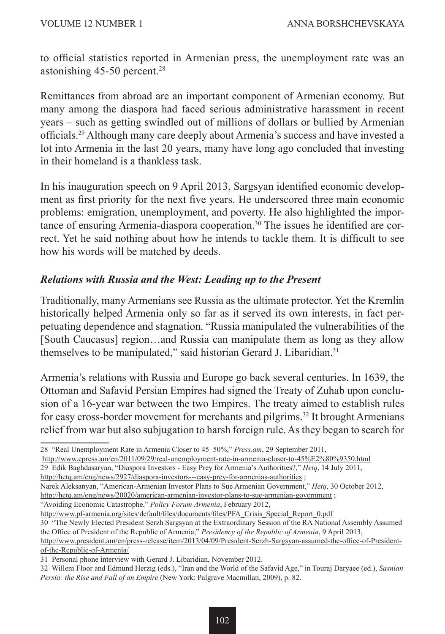to official statistics reported in Armenian press, the unemployment rate was an astonishing 45-50 percent.<sup>28</sup>

Remittances from abroad are an important component of Armenian economy. But many among the diaspora had faced serious administrative harassment in recent years – such as getting swindled out of millions of dollars or bullied by Armenian officials.29 Although many care deeply about Armenia's success and have invested a lot into Armenia in the last 20 years, many have long ago concluded that investing in their homeland is a thankless task.

In his inauguration speech on 9 April 2013, Sargsyan identified economic development as first priority for the next five years. He underscored three main economic problems: emigration, unemployment, and poverty. He also highlighted the importance of ensuring Armenia-diaspora cooperation.30 The issues he identified are correct. Yet he said nothing about how he intends to tackle them. It is difficult to see how his words will be matched by deeds.

#### *Relations with Russia and the West: Leading up to the Present*

Traditionally, many Armenians see Russia as the ultimate protector. Yet the Kremlin historically helped Armenia only so far as it served its own interests, in fact perpetuating dependence and stagnation. "Russia manipulated the vulnerabilities of the [South Caucasus] region...and Russia can manipulate them as long as they allow themselves to be manipulated," said historian Gerard J. Libaridian.<sup>31</sup>

Armenia's relations with Russia and Europe go back several centuries. In 1639, the Ottoman and Safavid Persian Empires had signed the Treaty of Zuhab upon conclusion of a 16-year war between the two Empires. The treaty aimed to establish rules for easy cross-border movement for merchants and pilgrims.<sup>32</sup> It brought Armenians relief from war but also subjugation to harsh foreign rule. As they began to search for

http://www.epress.am/en/2011/09/29/real-unemployment-rate-in-armenia-closer-to-45%E2%80%9350.html

29 Edik Baghdasaryan, "Diaspora Investors - Easy Prey for Armenia's Authorities?," *Hetq*, 14 July 2011,

http://hetq.am/eng/news/2927/diaspora-investors---easy-prey-for-armenias-authorities ;

Narek Aleksanyan, "American-Armenian Investor Plans to Sue Armenian Government," *Hetq*, 30 October 2012,

http://hetq.am/eng/news/20020/american-armenian-investor-plans-to-sue-armenian-government ;

"Avoiding Economic Catastrophe," *Policy Forum Armenia*, February 2012,

http://www.pf-armenia.org/sites/default/files/documents/files/PFA\_Crisis\_Special\_Report\_0.pdf

30 "The Newly Elected President Serzh Sargsyan at the Extraordinary Session of the RA National Assembly Assumed the Office of President of the Republic of Armenia," *Presidency of the Republic of Armenia*, 9 April 2013,

32 Willem Floor and Edmund Herzig (eds.), "Iran and the World of the Safavid Age," in Touraj Daryaee (ed.), *Sasnian Persia: the Rise and Fall of an Empire* (New York: Palgrave Macmillan, 2009), p. 82.

<sup>28 &</sup>quot;Real Unemployment Rate in Armenia Closer to 45–50%," *Press.am*, 29 September 2011,

http://www.president.am/en/press-release/item/2013/04/09/President-Serzh-Sargsyan-assumed-the-office-of-Presidentof-the-Republic-of-Armenia/

<sup>31</sup> Personal phone interview with Gerard J. Libaridian, November 2012.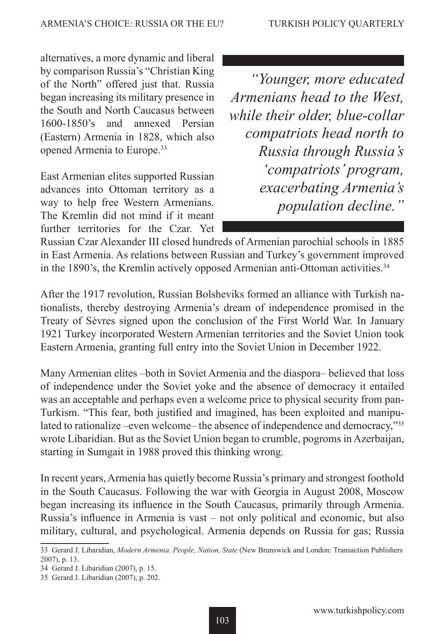alternatives, a more dynamic and liberal by comparison Russia's "Christian King of the North" offered just that. Russia began increasing its military presence in the South and North Caucasus between 1600-1850's and annexed Persian (Eastern) Armenia in 1828, which also opened Armenia to Europe.33

East Armenian elites supported Russian advances into Ottoman territory as a way to help free Western Armenians. The Kremlin did not mind if it meant further territories for the Czar. Yet

*"Younger, more educated Armenians head to the West, while their older, blue-collar compatriots head north to Russia through Russia's 'compatriots' program, exacerbating Armenia's population decline."*

Russian Czar Alexander III closed hundreds of Armenian parochial schools in 1885 in East Armenia. As relations between Russian and Turkey's government improved in the 1890's, the Kremlin actively opposed Armenian anti-Ottoman activities.<sup>34</sup>

After the 1917 revolution, Russian Bolsheviks formed an alliance with Turkish nationalists, thereby destroying Armenia's dream of independence promised in the Treaty of Sèvres signed upon the conclusion of the First World War. In January 1921 Turkey incorporated Western Armenian territories and the Soviet Union took Eastern Armenia, granting full entry into the Soviet Union in December 1922.

Many Armenian elites –both in Soviet Armenia and the diaspora– believed that loss of independence under the Soviet yoke and the absence of democracy it entailed was an acceptable and perhaps even a welcome price to physical security from pan-Turkism. "This fear, both justified and imagined, has been exploited and manipulated to rationalize –even welcome– the absence of independence and democracy,"<sup>35</sup> wrote Libaridian. But as the Soviet Union began to crumble, pogroms in Azerbaijan, starting in Sumgait in 1988 proved this thinking wrong.

In recent years, Armenia has quietly become Russia's primary and strongest foothold in the South Caucasus. Following the war with Georgia in August 2008, Moscow began increasing its influence in the South Caucasus, primarily through Armenia. Russia's influence in Armenia is vast – not only political and economic, but also military, cultural, and psychological. Armenia depends on Russia for gas; Russia

<sup>33</sup> Gerard J. Libaridian, *Modern Armenia. People, Nation, State* (New Brunswick and London: Transaction Publishers 2007), p. 13.

<sup>34</sup> Gerard J. Libaridian (2007), p. 15.

<sup>35</sup> Gerard J. Libaridian (2007), p. 202.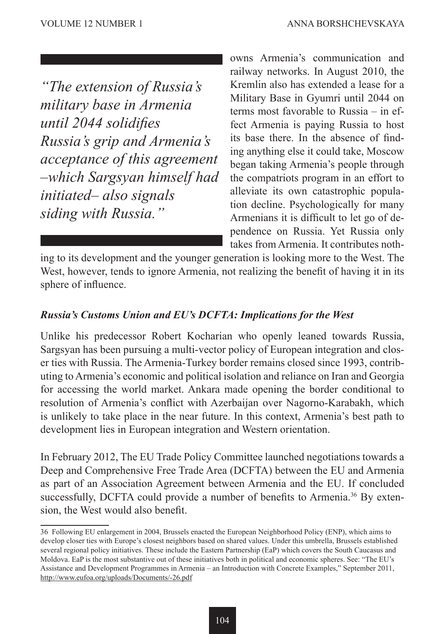*"The extension of Russia's military base in Armenia until 2044 solidifies Russia's grip and Armenia's acceptance of this agreement –which Sargsyan himself had initiated– also signals siding with Russia."*

owns Armenia's communication and railway networks. In August 2010, the Kremlin also has extended a lease for a Military Base in Gyumri until 2044 on terms most favorable to Russia – in effect Armenia is paying Russia to host its base there. In the absence of finding anything else it could take, Moscow began taking Armenia's people through the compatriots program in an effort to alleviate its own catastrophic population decline. Psychologically for many Armenians it is difficult to let go of dependence on Russia. Yet Russia only takes from Armenia. It contributes noth-

ing to its development and the younger generation is looking more to the West. The West, however, tends to ignore Armenia, not realizing the benefit of having it in its sphere of influence.

#### *Russia's Customs Union and EU's DCFTA: Implications for the West*

Unlike his predecessor Robert Kocharian who openly leaned towards Russia, Sargsyan has been pursuing a multi-vector policy of European integration and closer ties with Russia. The Armenia-Turkey border remains closed since 1993, contributing to Armenia's economic and political isolation and reliance on Iran and Georgia for accessing the world market. Ankara made opening the border conditional to resolution of Armenia's conflict with Azerbaijan over Nagorno-Karabakh, which is unlikely to take place in the near future. In this context, Armenia's best path to development lies in European integration and Western orientation.

In February 2012, The EU Trade Policy Committee launched negotiations towards a Deep and Comprehensive Free Trade Area (DCFTA) between the EU and Armenia as part of an Association Agreement between Armenia and the EU. If concluded successfully, DCFTA could provide a number of benefits to Armenia.<sup>36</sup> By extension, the West would also benefit.

<sup>36</sup> Following EU enlargement in 2004, Brussels enacted the European Neighborhood Policy (ENP), which aims to develop closer ties with Europe's closest neighbors based on shared values. Under this umbrella, Brussels established several regional policy initiatives. These include the Eastern Partnership (EaP) which covers the South Caucasus and Moldova. EaP is the most substantive out of these initiatives both in political and economic spheres. See: "The EU's Assistance and Development Programmes in Armenia – an Introduction with Concrete Examples," September 2011, http://www.eufoa.org/uploads/Documents/-26.pdf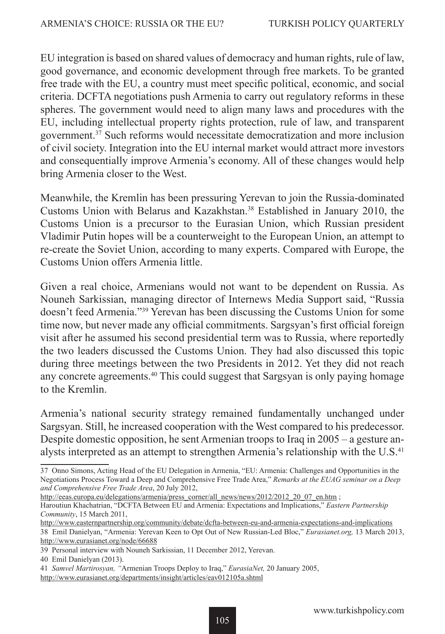EU integration is based on shared values of democracy and human rights, rule of law, good governance, and economic development through free markets. To be granted free trade with the EU, a country must meet specific political, economic, and social criteria. DCFTA negotiations push Armenia to carry out regulatory reforms in these spheres. The government would need to align many laws and procedures with the EU, including intellectual property rights protection, rule of law, and transparent government.37 Such reforms would necessitate democratization and more inclusion of civil society. Integration into the EU internal market would attract more investors and consequentially improve Armenia's economy. All of these changes would help bring Armenia closer to the West.

Meanwhile, the Kremlin has been pressuring Yerevan to join the Russia-dominated Customs Union with Belarus and Kazakhstan.<sup>38</sup> Established in January 2010, the Customs Union is a precursor to the Eurasian Union, which Russian president Vladimir Putin hopes will be a counterweight to the European Union, an attempt to re-create the Soviet Union, according to many experts. Compared with Europe, the Customs Union offers Armenia little.

Given a real choice, Armenians would not want to be dependent on Russia. As Nouneh Sarkissian, managing director of Internews Media Support said, "Russia doesn't feed Armenia."39 Yerevan has been discussing the Customs Union for some time now, but never made any official commitments. Sargsyan's first official foreign visit after he assumed his second presidential term was to Russia, where reportedly the two leaders discussed the Customs Union. They had also discussed this topic during three meetings between the two Presidents in 2012. Yet they did not reach any concrete agreements.40 This could suggest that Sargsyan is only paying homage to the Kremlin.

Armenia's national security strategy remained fundamentally unchanged under Sargsyan. Still, he increased cooperation with the West compared to his predecessor. Despite domestic opposition, he sent Armenian troops to Iraq in 2005 – a gesture analysts interpreted as an attempt to strengthen Armenia's relationship with the U.S.<sup>41</sup>

http://eeas.europa.eu/delegations/armenia/press\_corner/all\_news/news/2012/2012\_20\_07\_en.htm ;

<sup>37</sup> Onno Simons, Acting Head of the EU Delegation in Armenia, "EU: Armenia: Challenges and Opportunities in the Negotiations Process Toward a Deep and Comprehensive Free Trade Area," *Remarks at the EUAG seminar on a Deep and Comprehensive Free Trade Area*, 20 July 2012,

Haroutiun Khachatrian, "DCFTA Between EU and Armenia: Expectations and Implications," *Eastern Partnership Community*, 15 March 2011,

http://www.easternpartnership.org/community/debate/dcfta-between-eu-and-armenia-expectations-and-implications 38 Emil Danielyan, "Armenia: Yerevan Keen to Opt Out of New Russian-Led Bloc," *Eurasianet.org,* 13 March 2013, http://www.eurasianet.org/node/66688

<sup>39</sup> Personal interview with Nouneh Sarkissian, 11 December 2012, Yerevan.

<sup>40</sup> Emil Danielyan (2013).

<sup>41</sup> *Samvel Martirosyan, "*Armenian Troops Deploy to Iraq," *EurasiaNet,* 20 January 2005, http://www.eurasianet.org/departments/insight/articles/eav012105a.shtml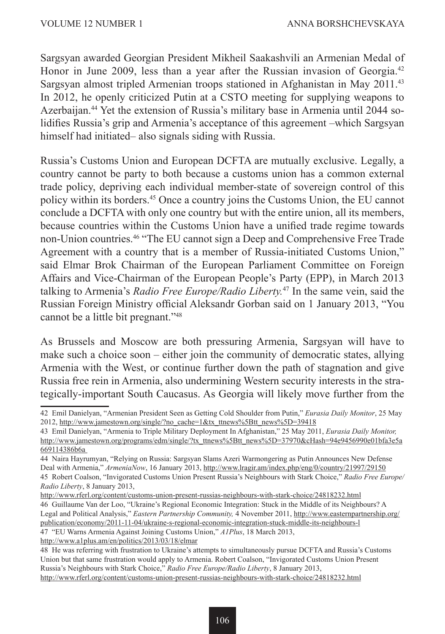Sargsyan awarded Georgian President Mikheil Saakashvili an Armenian Medal of Honor in June 2009, less than a year after the Russian invasion of Georgia.<sup>42</sup> Sargsyan almost tripled Armenian troops stationed in Afghanistan in May 2011.43 In 2012, he openly criticized Putin at a CSTO meeting for supplying weapons to Azerbaijan.44 Yet the extension of Russia's military base in Armenia until 2044 solidifies Russia's grip and Armenia's acceptance of this agreement –which Sargsyan himself had initiated– also signals siding with Russia.

Russia's Customs Union and European DCFTA are mutually exclusive. Legally, a country cannot be party to both because a customs union has a common external trade policy, depriving each individual member-state of sovereign control of this policy within its borders.45 Once a country joins the Customs Union, the EU cannot conclude a DCFTA with only one country but with the entire union, all its members, because countries within the Customs Union have a unified trade regime towards non-Union countries.46 "The EU cannot sign a Deep and Comprehensive Free Trade Agreement with a country that is a member of Russia-initiated Customs Union," said Elmar Brok Chairman of the European Parliament Committee on Foreign Affairs and Vice-Chairman of the European People's Party (EPP), in March 2013 talking to Armenia's *Radio Free Europe/Radio Liberty.*47 In the same vein, said the Russian Foreign Ministry official Aleksandr Gorban said on 1 January 2013, "You cannot be a little bit pregnant."48

As Brussels and Moscow are both pressuring Armenia, Sargsyan will have to make such a choice soon – either join the community of democratic states, allying Armenia with the West, or continue further down the path of stagnation and give Russia free rein in Armenia, also undermining Western security interests in the strategically-important South Caucasus. As Georgia will likely move further from the

<sup>42</sup> Emil Danielyan, "Armenian President Seen as Getting Cold Shoulder from Putin," *Eurasia Daily Monitor*, 25 May 2012, http://www.jamestown.org/single/?no\_cache=1&tx\_ttnews%5Btt\_news%5D=39418

<sup>43</sup> Emil Danielyan, "Armenia to Triple Military Deployment In Afghanistan," 25 May 2011, *Eurasia Daily Monitor,* http://www.jamestown.org/programs/edm/single/?tx\_ttnews%5Btt\_news%5D=37970&cHash=94e9456990e01bfa3e5a 669114386b6a

<sup>44</sup> Naira Hayrumyan, "Relying on Russia: Sargsyan Slams Azeri Warmongering as Putin Announces New Defense Deal with Armenia," *ArmeniaNow*, 16 January 2013, http://www.lragir.am/index.php/eng/0/country/21997/29150 45 Robert Coalson, "Invigorated Customs Union Present Russia's Neighbours with Stark Choice," *Radio Free Europe/ Radio Liberty*, 8 January 2013,

http://www.rferl.org/content/customs-union-present-russias-neighbours-with-stark-choice/24818232.html

<sup>46</sup> Guillaume Van der Loo, "Ukraine's Regional Economic Integration: Stuck in the Middle of its Neighbours? A Legal and Political Analysis," *Eastern Partnership Community,* 4 November 2011, http://www.easternpartnership.org/ publication/economy/2011-11-04/ukraine-s-regional-economic-integration-stuck-middle-its-neighbours-l

<sup>47 &</sup>quot;EU Warns Armenia Against Joining Customs Union," *A1Plus*, 18 March 2013,

http://www.a1plus.am/en/politics/2013/03/18/elmar

<sup>48</sup> He was referring with frustration to Ukraine's attempts to simultaneously pursue DCFTA and Russia's Customs Union but that same frustration would apply to Armenia. Robert Coalson, "Invigorated Customs Union Present Russia's Neighbours with Stark Choice," *Radio Free Europe/Radio Liberty*, 8 January 2013, http://www.rferl.org/content/customs-union-present-russias-neighbours-with-stark-choice/24818232.html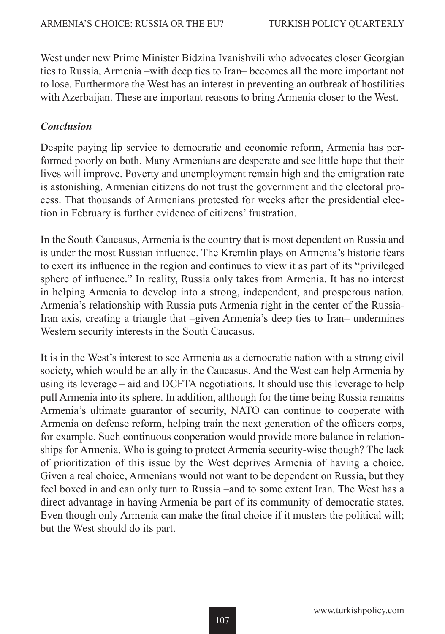West under new Prime Minister Bidzina Ivanishvili who advocates closer Georgian ties to Russia, Armenia –with deep ties to Iran– becomes all the more important not to lose. Furthermore the West has an interest in preventing an outbreak of hostilities with Azerbaijan. These are important reasons to bring Armenia closer to the West.

#### *Conclusion*

Despite paying lip service to democratic and economic reform, Armenia has performed poorly on both. Many Armenians are desperate and see little hope that their lives will improve. Poverty and unemployment remain high and the emigration rate is astonishing. Armenian citizens do not trust the government and the electoral process. That thousands of Armenians protested for weeks after the presidential election in February is further evidence of citizens' frustration.

In the South Caucasus, Armenia is the country that is most dependent on Russia and is under the most Russian influence. The Kremlin plays on Armenia's historic fears to exert its influence in the region and continues to view it as part of its "privileged sphere of influence." In reality, Russia only takes from Armenia. It has no interest in helping Armenia to develop into a strong, independent, and prosperous nation. Armenia's relationship with Russia puts Armenia right in the center of the Russia-Iran axis, creating a triangle that –given Armenia's deep ties to Iran– undermines Western security interests in the South Caucasus.

It is in the West's interest to see Armenia as a democratic nation with a strong civil society, which would be an ally in the Caucasus. And the West can help Armenia by using its leverage – aid and DCFTA negotiations. It should use this leverage to help pull Armenia into its sphere. In addition, although for the time being Russia remains Armenia's ultimate guarantor of security, NATO can continue to cooperate with Armenia on defense reform, helping train the next generation of the officers corps, for example. Such continuous cooperation would provide more balance in relationships for Armenia. Who is going to protect Armenia security-wise though? The lack of prioritization of this issue by the West deprives Armenia of having a choice. Given a real choice, Armenians would not want to be dependent on Russia, but they feel boxed in and can only turn to Russia –and to some extent Iran. The West has a direct advantage in having Armenia be part of its community of democratic states. Even though only Armenia can make the final choice if it musters the political will; but the West should do its part.